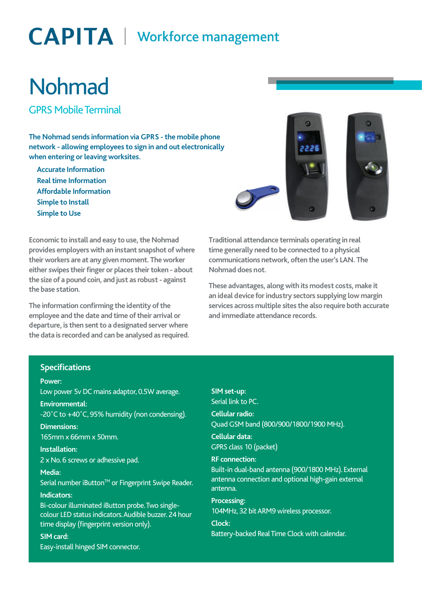# **CAPITA** | Workforce management

# Nohmad

GPRS Mobile Terminal

**The Nohmad sends information via GPRS - the mobile phone network - allowing employees to sign in and out electronically when entering or leaving worksites.**

**Accurate Information Real time Information Affordable Information Simple to Install Simple to Use**



**Economic to install and easy to use, the Nohmad provides employers with an instant snapshot of where their workers are at any given moment. The worker either swipes their finger or places their token - about the size of a pound coin, and just as robust - against the base station.** 

**The information confirming the identity of the employee and the date and time of their arrival or departure, is then sent to a designated server where the data is recorded and can be analysed as required.**  **Traditional attendance terminals operating in real time generally need to be connected to a physical communications network, often the user's LAN. The Nohmad does not.** 

**These advantages, along with its modest costs, make it an ideal device for industry sectors supplying low margin services across multiple sites the also require both accurate and immediate attendance records.**

# **Specifications**

#### **Power:**

Low power 5v DC mains adaptor, 0.5W average. **Environmental:**  -20˚C to +40˚C, 95% humidity (non condensing).

**Dimensions:**  165mm x 66mm x 50mm.

**Installation:**  2 x No. 6 screws or adhessive pad.

**Media:** 

Serial number iButton™ or Fingerprint Swipe Reader.

## **Indicators:**

Bi-colour illuminated iButton probe. Two singlecolour LED status indicators. Audible buzzer. 24 hour time display (fingerprint version only).

**SIM card:** 

Easy-install hinged SIM connector.

**SIM set-up:**  Serial link to PC. **Cellular radio:**  Quad GSM band (800/900/1800/1900 MHz). **Cellular data:**  GPRS class 10 (packet) **RF connection:** 

Built-in dual-band antenna (900/1800 MHz). External antenna connection and optional high-gain external antenna.

**Processing:**  104MHz, 32 bit ARM9 wireless processor.

**Clock:**  Battery-backed Real Time Clock with calendar.